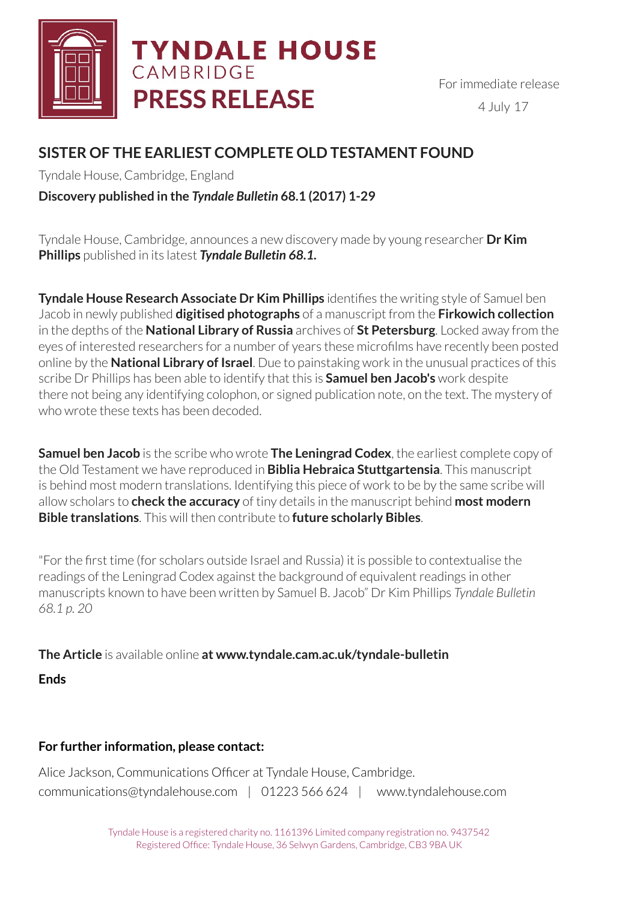

# **TYNDALE HOUSE** CAMBRIDGE **PRESS RELEASE**

# **SISTER OF THE EARLIEST COMPLETE OLD TESTAMENT FOUND**

Tyndale House, Cambridge, England

# **Discovery published in the** *Tyndale Bulletin* **68.1 (2017) 1-29**

Tyndale House, Cambridge, announces a new discovery made by young researcher **Dr Kim Phillips** published in its latest *Tyndale Bulletin 68.1.* 

**Tyndale House Research Associate Dr Kim Phillips** identifies the writing style of Samuel ben Jacob in newly published **digitised photographs** of a manuscript from the **Firkowich collection** in the depths of the **National Library of Russia** archives of **St Petersburg**. Locked away from the eyes of interested researchers for a number of years these microfilms have recently been posted online by the **National Library of Israel**. Due to painstaking work in the unusual practices of this scribe Dr Phillips has been able to identify that this is **Samuel ben Jacob's** work despite there not being any identifying colophon, or signed publication note, on the text. The mystery of who wrote these texts has been decoded.

**Samuel ben Jacob** is the scribe who wrote **The Leningrad Codex**, the earliest complete copy of the Old Testament we have reproduced in **Biblia Hebraica Stuttgartensia**. This manuscript is behind most modern translations. Identifying this piece of work to be by the same scribe will allow scholars to **check the accuracy** of tiny details in the manuscript behind **most modern Bible translations**. This will then contribute to **future scholarly Bibles**.

"For the first time (for scholars outside Israel and Russia) it is possible to contextualise the readings of the Leningrad Codex against the background of equivalent readings in other manuscripts known to have been written by Samuel B. Jacob" Dr Kim Phillips *Tyndale Bulletin 68.1 p. 20* 

**The Article** is available online **at www.tyndale.cam.ac.uk/tyndale-bulletin** 

**Ends** 

# **For further information, please contact:**

Alice Jackson, Communications Officer at Tyndale House, Cambridge. [communications@tyndalehouse.com](mailto:communications@tyndalehouse.com) | 01223 566 624 | www.tyndalehouse.com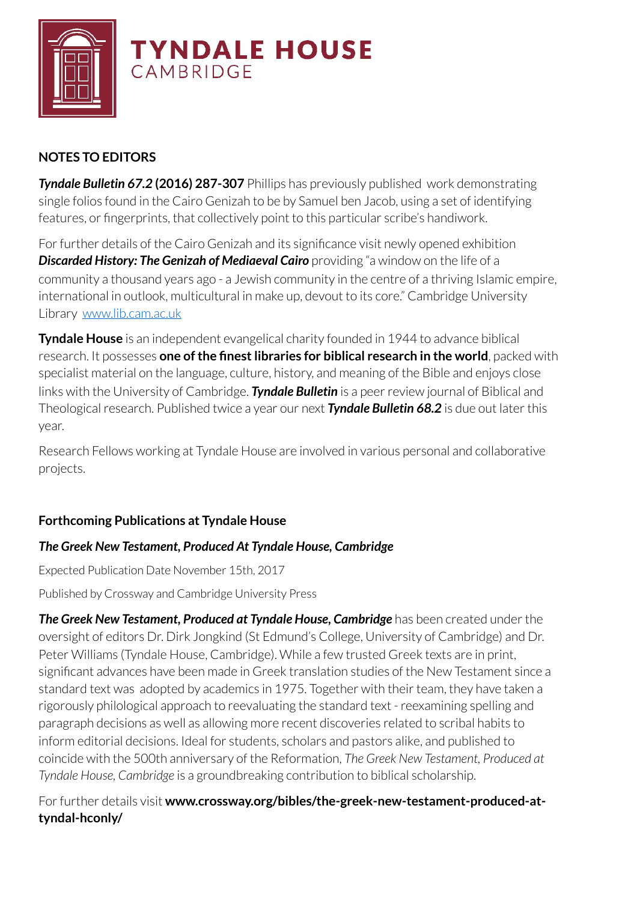

# **NOTES TO EDITORS**

*Tyndale Bulletin 67.2* **(2016) 287-307** Phillips has previously published work demonstrating single folios found in the Cairo Genizah to be by Samuel ben Jacob, using a set of identifying features, or fingerprints, that collectively point to this particular scribe's handiwork.

For further details of the Cairo Genizah and its significance visit newly opened exhibition **Discarded History: The Genizah of Mediaeval Cairo** providing "a window on the life of a community a thousand years ago - a Jewish community in the centre of a thriving Islamic empire, international in outlook, multicultural in make up, devout to its core." Cambridge University Library[www.lib.cam.ac.uk](http://www.lib.cam.ac.uk)

**Tyndale House** is an independent evangelical charity founded in 1944 to advance biblical research. It possesses **one of the finest libraries for biblical research in the world**, packed with specialist material on the language, culture, history, and meaning of the Bible and enjoys close links with the University of Cambridge. *Tyndale Bulletin* is a peer review journal of Biblical and Theological research. Published twice a year our next *Tyndale Bulletin 68.2* is due out later this year.

Research Fellows working at Tyndale House are involved in various personal and collaborative projects.

## **Forthcoming Publications at Tyndale House**

### *The Greek New Testament, Produced At Tyndale House, Cambridge*

Expected Publication Date November 15th, 2017

Published by Crossway and Cambridge University Press

*The Greek New Testament, Produced at Tyndale House, Cambridge* has been created under the oversight of editors Dr. Dirk Jongkind (St Edmund's College, University of Cambridge) and Dr. Peter Williams (Tyndale House, Cambridge). While a few trusted Greek texts are in print, significant advances have been made in Greek translation studies of the New Testament since a standard text was adopted by academics in 1975. Together with their team, they have taken a rigorously philological approach to reevaluating the standard text - reexamining spelling and paragraph decisions as well as allowing more recent discoveries related to scribal habits to inform editorial decisions. Ideal for students, scholars and pastors alike, and published to coincide with the 500th anniversary of the Reformation, *The Greek New Testament, Produced at Tyndale House, Cambridge* is a groundbreaking contribution to biblical scholarship.

For further details visit **www.crossway.org/bibles/the-greek-new-testament-produced-attyndal-hconly/**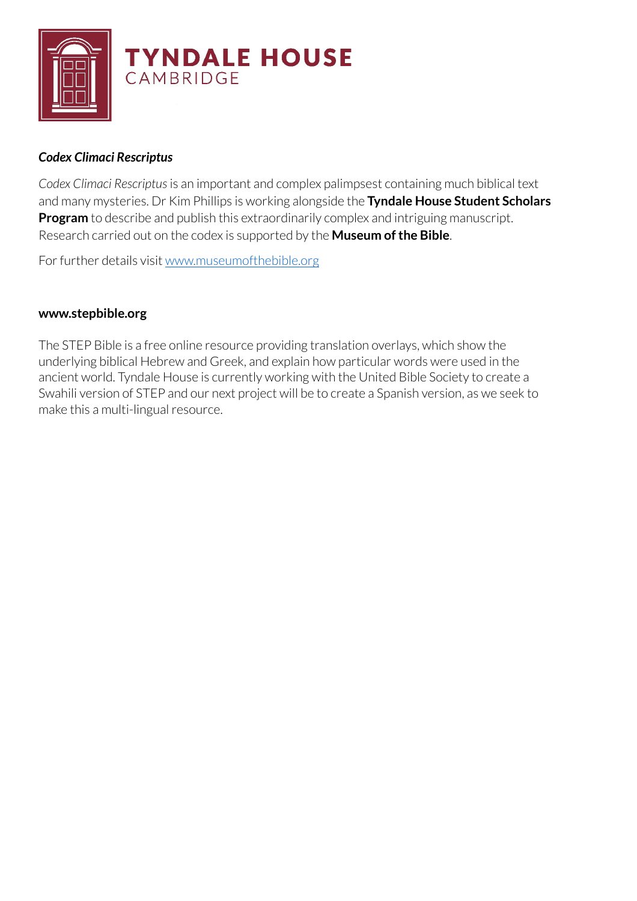

### *Codex Climaci Rescriptus*

*Codex Climaci Rescriptus* is an important and complex palimpsest containing much biblical text and many mysteries. Dr Kim Phillips is working alongside the **Tyndale House Student Scholars Program** to describe and publish this extraordinarily complex and intriguing manuscript. Research carried out on the codex is supported by the **Museum of the Bible**.

For further details visit [www.museumofthebible.org](http://www.museumofthebible.org)

#### **[www.stepbible.org](http://www.stepbible.org)**

The STEP Bible is a free online resource providing translation overlays, which show the underlying biblical Hebrew and Greek, and explain how particular words were used in the ancient world. Tyndale House is currently working with the United Bible Society to create a Swahili version of STEP and our next project will be to create a Spanish version, as we seek to make this a multi-lingual resource.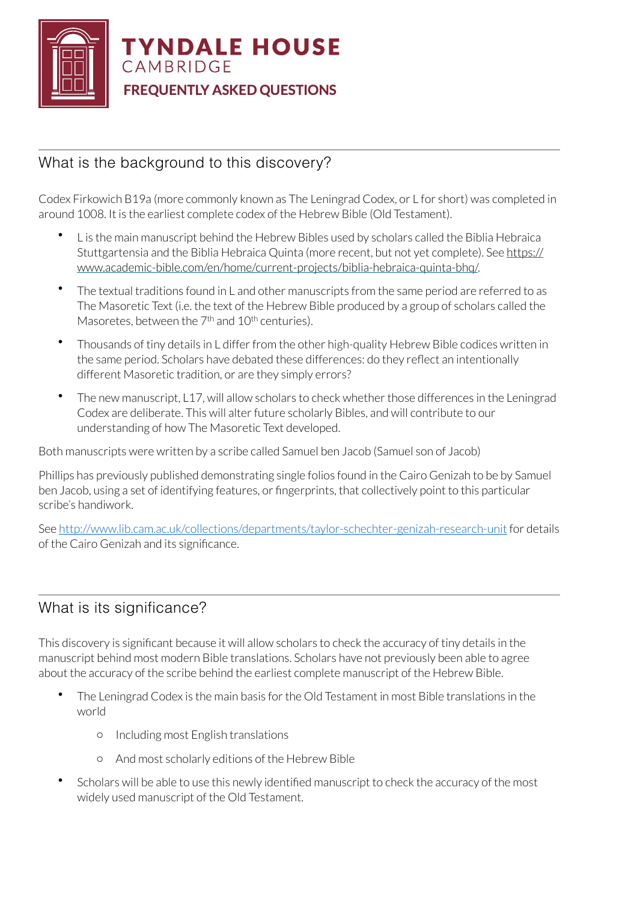

# What is the background to this discovery?

Codex Firkowich B19a (more commonly known as The Leningrad Codex, or L for short) was completed in around 1008. It is the earliest complete codex of the Hebrew Bible (Old Testament).

- L is the main manuscript behind the Hebrew Bibles used by scholars called the Biblia Hebraica [Stuttgartensia and the Biblia Hebraica Quinta \(more recent, but not yet complete\). See https://](https://www.academic-bible.com/en/home/current-projects/biblia-hebraica-quinta-bhq/) www.academic-bible.com/en/home/current-projects/biblia-hebraica-quinta-bhq/.
- The textual traditions found in L and other manuscripts from the same period are referred to as The Masoretic Text (i.e. the text of the Hebrew Bible produced by a group of scholars called the Masoretes, between the  $7<sup>th</sup>$  and  $10<sup>th</sup>$  centuries).
- Thousands of tiny details in L differ from the other high-quality Hebrew Bible codices written in the same period. Scholars have debated these differences: do they reflect an intentionally different Masoretic tradition, or are they simply errors?
- The new manuscript, L17, will allow scholars to check whether those differences in the Leningrad Codex are deliberate. This will alter future scholarly Bibles, and will contribute to our understanding of how The Masoretic Text developed.

Both manuscripts were written by a scribe called Samuel ben Jacob (Samuel son of Jacob)

Phillips has previously published demonstrating single folios found in the Cairo Genizah to be by Samuel ben Jacob, using a set of identifying features, or fingerprints, that collectively point to this particular scribe's handiwork.

See<http://www.lib.cam.ac.uk/collections/departments/taylor-schechter-genizah-research-unit>for details of the Cairo Genizah and its significance.

# What is its significance?

This discovery is significant because it will allow scholars to check the accuracy of tiny details in the manuscript behind most modern Bible translations. Scholars have not previously been able to agree about the accuracy of the scribe behind the earliest complete manuscript of the Hebrew Bible.

- The Leningrad Codex is the main basis for the Old Testament in most Bible translations in the world
	- o Including most English translations
	- o And most scholarly editions of the Hebrew Bible
- Scholars will be able to use this newly identified manuscript to check the accuracy of the most widely used manuscript of the Old Testament.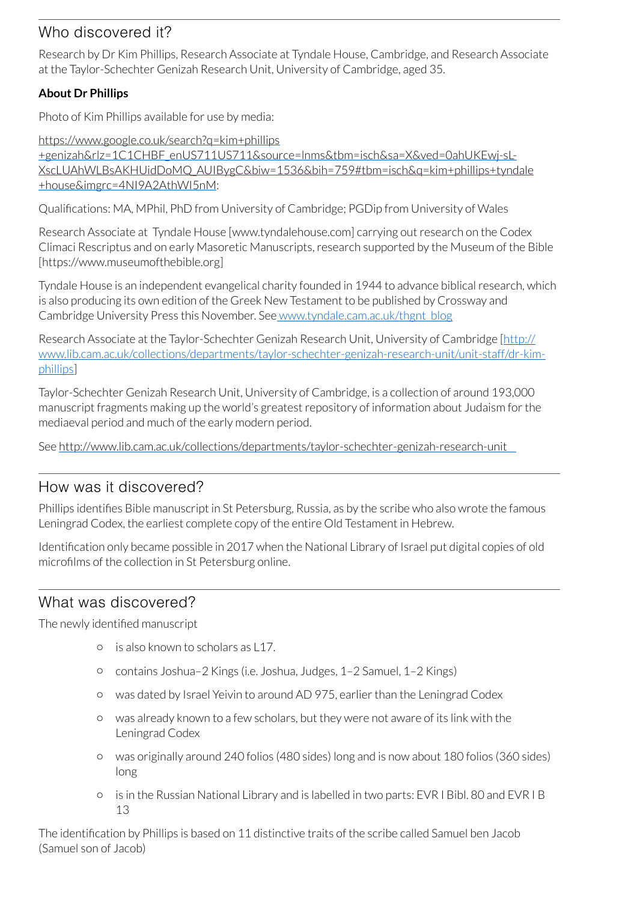# Who discovered it?

Research by Dr Kim Phillips, Research Associate at Tyndale House, Cambridge, and Research Associate at the Taylor-Schechter Genizah Research Unit, University of Cambridge, aged 35.

### **About Dr Phillips**

Photo of Kim Phillips available for use by media:

https://www.google.co.uk/search?q=kim+phillips +genizah&rlz=1C1CHBF\_enUS711US711&source=lnms&tbm=isch&sa=X&ved=0ahUKEwj-sL-[XscLUAhWLBsAKHUidDoMQ\\_AUIBygC&biw=1536&bih=759#tbm=isch&q=kim+phillips+tyndale](https://www.google.co.uk/search?q=kim+phillips+genizah&rlz=1C1CHBF_enUS711US711&source=lnms&tbm=isch&sa=X&ved=0ahUKEwj-sL-XscLUAhWLBsAKHUidDoMQ_AUIBygC&biw=1536&bih=759#tbm=isch&q=kim+phillips+tyndale+house&imgrc=4NI9A2AthWI5nM) +house&imgrc=4NI9A2AthWI5nM:

Qualifications: MA, MPhil, PhD from University of Cambridge; PGDip from University of Wales

Research Associate at Tyndale House [www.tyndalehouse.com] carrying out research on the Codex Climaci Rescriptus and on early Masoretic Manuscripts, research supported by the Museum of the Bible [https://www.museumofthebible.org]

Tyndale House is an independent evangelical charity founded in 1944 to advance biblical research, which is also producing its own edition of the Greek New Testament to be published by Crossway and Cambridge University Press this November. See [www.tyndale.cam.ac.uk/thgnt\\_blog](http://www.tyndale.cam.ac.uk/thgnt_blog)

Research Associate at the Taylor-Schechter Genizah Research Unit, University of Cambridge [http:// [www.lib.cam.ac.uk/collections/departments/taylor-schechter-genizah-research-unit/unit-staff/dr-kim](http://www.lib.cam.ac.uk/collections/departments/taylor-schechter-genizah-research-unit/unit-staff/dr-kim-phillips)phillips]

Taylor-Schechter Genizah Research Unit, University of Cambridge, is a collection of around 193,000 manuscript fragments making up the world's greatest repository of information about Judaism for the mediaeval period and much of the early modern period.

See<http://www.lib.cam.ac.uk/collections/departments/taylor-schechter-genizah-research-unit>

## How was it discovered?

Phillips identifies Bible manuscript in St Petersburg, Russia, as by the scribe who also wrote the famous Leningrad Codex, the earliest complete copy of the entire Old Testament in Hebrew.

Identification only became possible in 2017 when the National Library of Israel put digital copies of old microfilms of the collection in St Petersburg online.

## What was discovered?

The newly identified manuscript

- $\circ$  is also known to scholars as L17.
- o contains Joshua–2 Kings (i.e. Joshua, Judges, 1–2 Samuel, 1–2 Kings)
- o was dated by Israel Yeivin to around AD 975, earlier than the Leningrad Codex
- o was already known to a few scholars, but they were not aware of its link with the Leningrad Codex
- o was originally around 240 folios (480 sides) long and is now about 180 folios (360 sides) long
- o is in the Russian National Library and is labelled in two parts: EVR I Bibl. 80 and EVR I B 13

The identification by Phillips is based on 11 distinctive traits of the scribe called Samuel ben Jacob (Samuel son of Jacob)